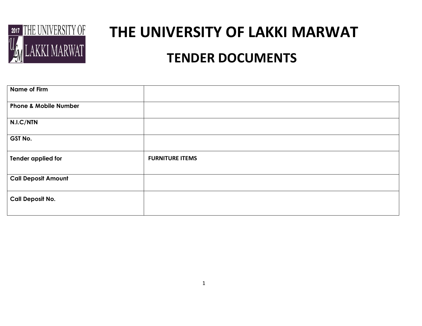

# **THE UNIVERSITY OF LAKKI MARWAT**

## **TENDER DOCUMENTS**

| Name of Firm               |                        |
|----------------------------|------------------------|
| Phone & Mobile Number      |                        |
| N.I.C/NTN                  |                        |
| <b>GST No.</b>             |                        |
| Tender applied for         | <b>FURNITURE ITEMS</b> |
|                            |                        |
| <b>Call Deposit Amount</b> |                        |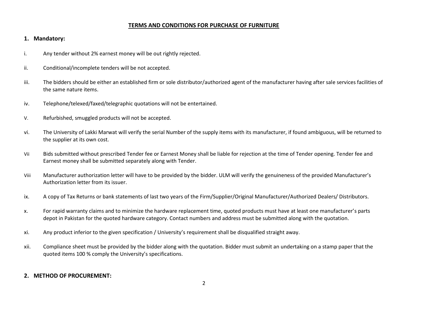#### **TERMS AND CONDITIONS FOR PURCHASE OF FURNITURE**

#### **1. Mandatory:**

- i. Any tender without 2% earnest money will be out rightly rejected.
- ii. Conditional/incomplete tenders will be not accepted.
- iii. The bidders should be either an established firm or sole distributor/authorized agent of the manufacturer having after sale services facilities of the same nature items.
- iv. Telephone/telexed/faxed/telegraphic quotations will not be entertained.
- V. Refurbished, smuggled products will not be accepted.
- vi. The University of Lakki Marwat will verify the serial Number of the supply items with its manufacturer, if found ambiguous, will be returned to the supplier at its own cost.
- Vii Bids submitted without prescribed Tender fee or Earnest Money shall be liable for rejection at the time of Tender opening. Tender fee and Earnest money shall be submitted separately along with Tender.
- Viii Manufacturer authorization letter will have to be provided by the bidder. ULM will verify the genuineness of the provided Manufacturer's Authorization letter from its issuer.
- ix. A copy of Tax Returns or bank statements of last two years of the Firm/Supplier/Original Manufacturer/Authorized Dealers/ Distributors.
- x. For rapid warranty claims and to minimize the hardware replacement time, quoted products must have at least one manufacturer's parts depot in Pakistan for the quoted hardware category. Contact numbers and address must be submitted along with the quotation.
- xi. Any product inferior to the given specification / University's requirement shall be disqualified straight away.
- xii. Compliance sheet must be provided by the bidder along with the quotation. Bidder must submit an undertaking on a stamp paper that the quoted items 100 % comply the University's specifications.

#### **2. METHOD OF PROCUREMENT:**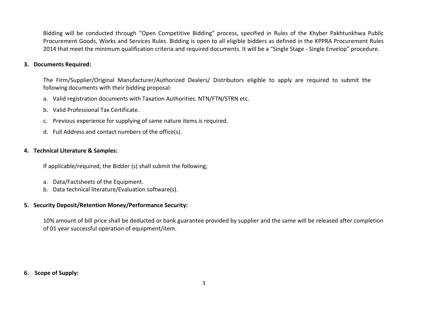Bidding will be conducted through "Open Competitive Bidding" process, specified in Rules of the Khyber Pakhtunkhwa Public Procurement Goods, Works and Services Rules. Bidding is open to all eligible bidders as defined in the KPPRA Procurement Rules 2014 that meet the minimum qualification criteria and required documents. It will be a "Single Stage - Single Envelop" procedure.

#### **3. Documents Required:**

The Firm/Supplier/Original Manufacturer/Authorized Dealers/ Distributors eligible to apply are required to submit the following documents with their bidding proposal:

- a. Valid registration documents with Taxation Authorities. NTN/FTN/STRN etc.
- b. Valid Professional Tax Certificate.
- c. Previous experience for supplying of same nature items is required.
- d. Full Address and contact numbers of the office(s).

#### **4. Technical Literature & Samples:**

If applicable/required, the Bidder (s) shall submit the following;

- a. Data/Factsheets of the Equipment.
- b. Data technical literature/Evaluation software(s).

#### **5. Security Deposit/Retention Money/Performance Security:**

10% amount of bill price shall be deducted or bank guarantee provided by supplier and the same will be released after completion of 01 year successful operation of equipment/item.

#### **6**. **Scope of Supply:**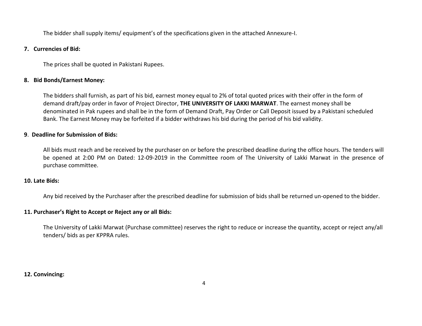The bidder shall supply items/ equipment's of the specifications given in the attached Annexure-I.

#### **7. Currencies of Bid:**

The prices shall be quoted in Pakistani Rupees.

#### **8. Bid Bonds/Earnest Money:**

The bidders shall furnish, as part of his bid, earnest money equal to 2% of total quoted prices with their offer in the form of demand draft/pay order in favor of Project Director, **THE UNIVERSITY OF LAKKI MARWAT**. The earnest money shall be denominated in Pak rupees and shall be in the form of Demand Draft, Pay Order or Call Deposit issued by a Pakistani scheduled Bank. The Earnest Money may be forfeited if a bidder withdraws his bid during the period of his bid validity.

#### **9**. **Deadline for Submission of Bids:**

All bids must reach and be received by the purchaser on or before the prescribed deadline during the office hours. The tenders will be opened at 2:00 PM on Dated: 12-09-2019 in the Committee room of The University of Lakki Marwat in the presence of purchase committee.

#### **10. Late Bids:**

Any bid received by the Purchaser after the prescribed deadline for submission of bids shall be returned un-opened to the bidder.

#### **11. Purchaser's Right to Accept or Reject any or all Bids:**

The University of Lakki Marwat (Purchase committee) reserves the right to reduce or increase the quantity, accept or reject any/all tenders/ bids as per KPPRA rules.

#### **12. Convincing:**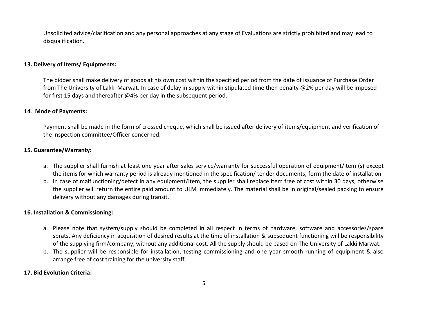Unsolicited advice/clarification and any personal approaches at any stage of Evaluations are strictly prohibited and may lead to disqualification.

#### **13. Delivery of Items/ Equipments:**

The bidder shall make delivery of goods at his own cost within the specified period from the date of issuance of Purchase Order from The University of Lakki Marwat. In case of delay in supply within stipulated time then penalty @2% per day will be imposed for first 15 days and thereafter @4% per day in the subsequent period.

#### **14**. **Mode of Payments:**

Payment shall be made in the form of crossed cheque, which shall be issued after delivery of items/equipment and verification of the inspection committee/Officer concerned.

#### **15. Guarantee/Warranty:**

- a. The supplier shall furnish at least one year after sales service/warranty for successful operation of equipment/item (s) except the items for which warranty period is already mentioned in the specification/ tender documents, form the date of installation
- b. In case of malfunctioning/defect in any equipment/item, the supplier shall replace item free of cost within 30 days, otherwise the supplier will return the entire paid amount to ULM immediately. The material shall be in original/sealed packing to ensure delivery without any damages during transit.

#### **16. Installation & Commissioning:**

- a. Please note that system/supply should be completed in all respect in terms of hardware, software and accessories/spare sprats. Any deficiency in acquisition of desired results at the time of installation & subsequent functioning will be responsibility of the supplying firm/company, without any additional cost. All the supply should be based on The University of Lakki Marwat.
- b. The supplier will be responsible for installation, testing commissioning and one year smooth running of equipment & also arrange free of cost training for the university staff.

#### **17. Bid Evolution Criteria:**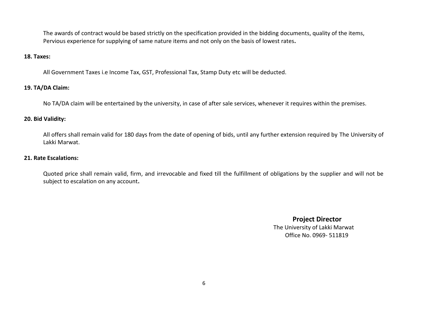The awards of contract would be based strictly on the specification provided in the bidding documents, quality of the items, Pervious experience for supplying of same nature items and not only on the basis of lowest rates**.**

#### **18. Taxes:**

All Government Taxes i.e Income Tax, GST, Professional Tax, Stamp Duty etc will be deducted.

#### **19. TA/DA Claim:**

No TA/DA claim will be entertained by the university, in case of after sale services, whenever it requires within the premises.

#### **20. Bid Validity:**

All offers shall remain valid for 180 days from the date of opening of bids, until any further extension required by The University of Lakki Marwat.

#### **21. Rate Escalations:**

Quoted price shall remain valid, firm, and irrevocable and fixed till the fulfillment of obligations by the supplier and will not be subject to escalation on any account**.**

> **Project Director** The University of Lakki Marwat Office No. 0969- 511819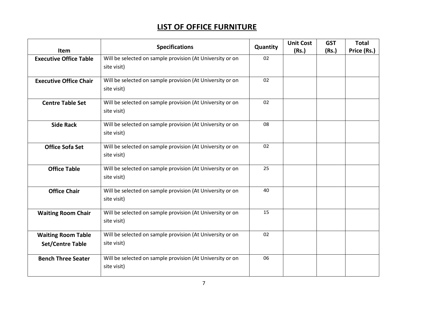### **LIST OF OFFICE FURNITURE**

|                               | <b>Specifications</b>                                                    | Quantity | <b>Unit Cost</b> | <b>GST</b> | <b>Total</b> |
|-------------------------------|--------------------------------------------------------------------------|----------|------------------|------------|--------------|
| Item                          |                                                                          |          | (Rs.)            | (Rs.)      | Price (Rs.)  |
| <b>Executive Office Table</b> | Will be selected on sample provision (At University or on                | 02       |                  |            |              |
|                               | site visit)                                                              |          |                  |            |              |
| <b>Executive Office Chair</b> | Will be selected on sample provision (At University or on                | 02       |                  |            |              |
|                               | site visit)                                                              |          |                  |            |              |
| <b>Centre Table Set</b>       | Will be selected on sample provision (At University or on<br>site visit) | 02       |                  |            |              |
|                               |                                                                          |          |                  |            |              |
| <b>Side Rack</b>              | Will be selected on sample provision (At University or on                | 08       |                  |            |              |
|                               | site visit)                                                              |          |                  |            |              |
| <b>Office Sofa Set</b>        | Will be selected on sample provision (At University or on                | 02       |                  |            |              |
|                               | site visit)                                                              |          |                  |            |              |
| <b>Office Table</b>           | Will be selected on sample provision (At University or on                | 25       |                  |            |              |
|                               | site visit)                                                              |          |                  |            |              |
| <b>Office Chair</b>           | Will be selected on sample provision (At University or on                | 40       |                  |            |              |
|                               | site visit)                                                              |          |                  |            |              |
| <b>Waiting Room Chair</b>     | Will be selected on sample provision (At University or on                | 15       |                  |            |              |
|                               | site visit)                                                              |          |                  |            |              |
| <b>Waiting Room Table</b>     | Will be selected on sample provision (At University or on                | 02       |                  |            |              |
| <b>Set/Centre Table</b>       | site visit)                                                              |          |                  |            |              |
|                               |                                                                          |          |                  |            |              |
| <b>Bench Three Seater</b>     | Will be selected on sample provision (At University or on                | 06       |                  |            |              |
|                               | site visit)                                                              |          |                  |            |              |
|                               |                                                                          |          |                  |            |              |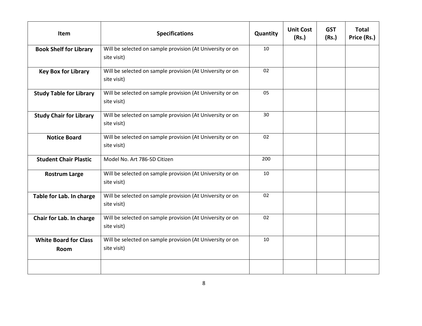| <b>Item</b>                          | <b>Specifications</b>                                                    | Quantity | <b>Unit Cost</b><br>(Rs.) | <b>GST</b><br>(Rs.) | <b>Total</b><br>Price (Rs.) |
|--------------------------------------|--------------------------------------------------------------------------|----------|---------------------------|---------------------|-----------------------------|
| <b>Book Shelf for Library</b>        | Will be selected on sample provision (At University or on<br>site visit) | 10       |                           |                     |                             |
| <b>Key Box for Library</b>           | Will be selected on sample provision (At University or on<br>site visit) | 02       |                           |                     |                             |
| <b>Study Table for Library</b>       | Will be selected on sample provision (At University or on<br>site visit) | 05       |                           |                     |                             |
| <b>Study Chair for Library</b>       | Will be selected on sample provision (At University or on<br>site visit) | 30       |                           |                     |                             |
| <b>Notice Board</b>                  | Will be selected on sample provision (At University or on<br>site visit) | 02       |                           |                     |                             |
| <b>Student Chair Plastic</b>         | Model No. Art 786-SD Citizen                                             | 200      |                           |                     |                             |
| <b>Rostrum Large</b>                 | Will be selected on sample provision (At University or on<br>site visit) | 10       |                           |                     |                             |
| Table for Lab. In charge             | Will be selected on sample provision (At University or on<br>site visit) | 02       |                           |                     |                             |
| Chair for Lab. In charge             | Will be selected on sample provision (At University or on<br>site visit) | 02       |                           |                     |                             |
| <b>White Board for Class</b><br>Room | Will be selected on sample provision (At University or on<br>site visit) | 10       |                           |                     |                             |
|                                      |                                                                          |          |                           |                     |                             |